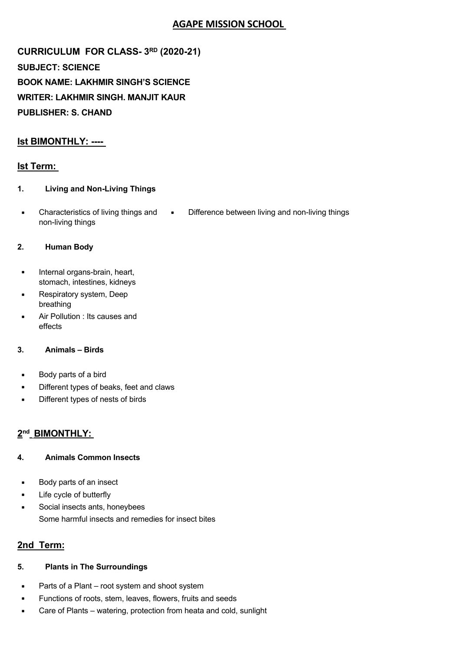# **AGAPE MISSION SCHOOL**

**CURRICULUM FOR CLASS- 3RD (2020-21) SUBJECT: SCIENCE BOOK NAME: LAKHMIR SINGH'S SCIENCE WRITER: LAKHMIR SINGH. MANJIT KAUR PUBLISHER: S. CHAND** 

## **Ist BIMONTHLY: ----**

### **Ist Term:**

- **1. Living and Non-Living Things**
- Characteristics of living things and non-living things • Difference between living and non-living things

#### **2. Human Body**

- Internal organs-brain, heart, stomach, intestines, kidneys
- Respiratory system, Deep breathing
- Air Pollution : Its causes and effects

#### **3. Animals – Birds**

- Body parts of a bird
- Different types of beaks, feet and claws
- Different types of nests of birds

### **2nd BIMONTHLY:**

#### **4. Animals Common Insects**

- Body parts of an insect
- Life cycle of butterfly
- Social insects ants, honeybees Some harmful insects and remedies for insect bites

### **2nd Term:**

- **5. Plants in The Surroundings**
- Parts of a Plant root system and shoot system
- Functions of roots, stem, leaves, flowers, fruits and seeds
- Care of Plants watering, protection from heata and cold, sunlight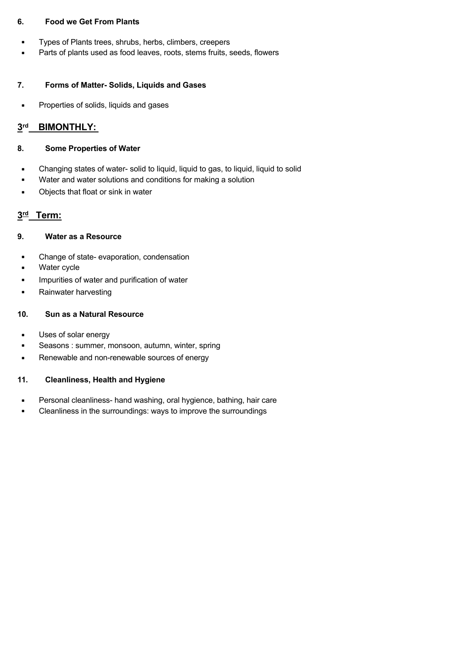#### **6. Food we Get From Plants**

- Types of Plants trees, shrubs, herbs, climbers, creepers
- Parts of plants used as food leaves, roots, stems fruits, seeds, flowers

#### **7. Forms of Matter- Solids, Liquids and Gases**

• Properties of solids, liquids and gases

## **3rd BIMONTHLY:**

#### **8. Some Properties of Water**

- Changing states of water- solid to liquid, liquid to gas, to liquid, liquid to solid
- Water and water solutions and conditions for making a solution
- Objects that float or sink in water

## **3rd Term:**

#### **9. Water as a Resource**

- Change of state- evaporation, condensation
- Water cycle
- Impurities of water and purification of water
- Rainwater harvesting

#### **10. Sun as a Natural Resource**

- Uses of solar energy
- Seasons : summer, monsoon, autumn, winter, spring
- Renewable and non-renewable sources of energy

#### **11. Cleanliness, Health and Hygiene**

- Personal cleanliness- hand washing, oral hygience, bathing, hair care
- Cleanliness in the surroundings: ways to improve the surroundings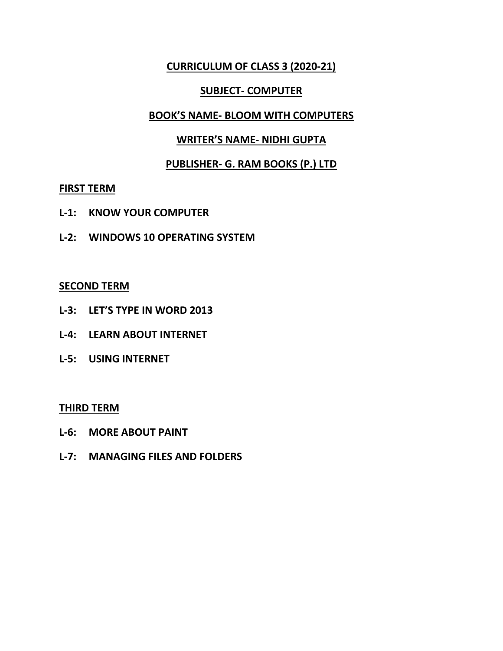## **CURRICULUM OF CLASS 3 (2020-21)**

## **SUBJECT- COMPUTER**

### **BOOK'S NAME- BLOOM WITH COMPUTERS**

## **WRITER'S NAME- NIDHI GUPTA**

## **PUBLISHER- G. RAM BOOKS (P.) LTD**

### **FIRST TERM**

- **L-1: KNOW YOUR COMPUTER**
- **L-2: WINDOWS 10 OPERATING SYSTEM**

## **SECOND TERM**

- **L-3: LET'S TYPE IN WORD 2013**
- **L-4: LEARN ABOUT INTERNET**
- **L-5: USING INTERNET**

### **THIRD TERM**

- **L-6: MORE ABOUT PAINT**
- **L-7: MANAGING FILES AND FOLDERS**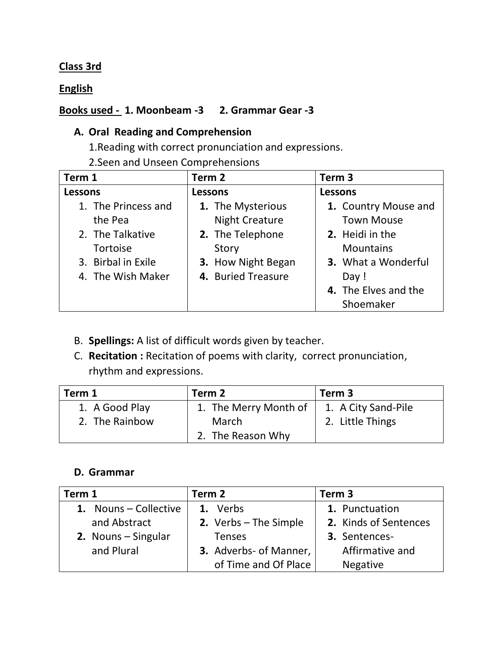# **Class 3rd**

**English**

# **Books used - 1. Moonbeam -3 2. Grammar Gear -3**

# **A. Oral Reading and Comprehension**

1.Reading with correct pronunciation and expressions.

2.Seen and Unseen Comprehensions

| Term 1              | Term 2                | Term 3                     |
|---------------------|-----------------------|----------------------------|
| <b>Lessons</b>      | <b>Lessons</b>        | <b>Lessons</b>             |
| 1. The Princess and | 1. The Mysterious     | 1. Country Mouse and       |
| the Pea             | <b>Night Creature</b> | <b>Town Mouse</b>          |
| 2. The Talkative    | 2. The Telephone      | 2. Heidi in the            |
| <b>Tortoise</b>     | Story                 | <b>Mountains</b>           |
| 3. Birbal in Exile  | 3. How Night Began    | <b>3.</b> What a Wonderful |
| 4. The Wish Maker   | 4. Buried Treasure    | Day !                      |
|                     |                       | 4. The Elves and the       |
|                     |                       | Shoemaker                  |

- B. **Spellings:** A list of difficult words given by teacher.
- C. **Recitation :** Recitation of poems with clarity, correct pronunciation, rhythm and expressions.

| Term 1         | Term 2                | Term <sub>3</sub>   |
|----------------|-----------------------|---------------------|
| 1. A Good Play | 1. The Merry Month of | 1. A City Sand-Pile |
| 2. The Rainbow | March                 | 2. Little Things    |
|                | 2. The Reason Why     |                     |

## **D. Grammar**

| Term 1                | Term 2                  | Term <sub>3</sub>     |
|-----------------------|-------------------------|-----------------------|
| 1. Nouns – Collective | 1. Verbs                | 1. Punctuation        |
| and Abstract          | 2. Verbs $-$ The Simple | 2. Kinds of Sentences |
| 2. Nouns – Singular   | <b>Tenses</b>           | 3. Sentences-         |
| and Plural            | 3. Adverbs- of Manner,  | Affirmative and       |
|                       | of Time and Of Place    | <b>Negative</b>       |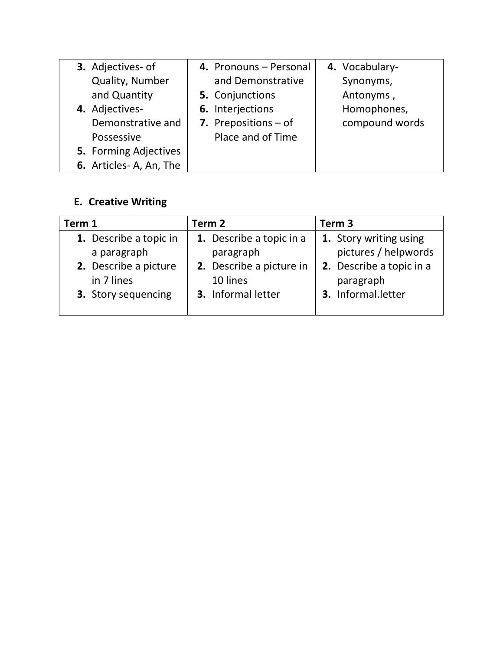| 3. Adjectives- of      | 4. Pronouns - Personal | 4. Vocabulary- |
|------------------------|------------------------|----------------|
| Quality, Number        | and Demonstrative      | Synonyms,      |
| and Quantity           | 5. Conjunctions        | Antonyms,      |
| 4. Adjectives-         | 6. Interjections       | Homophones,    |
| Demonstrative and      | 7. Prepositions $-$ of | compound words |
| Possessive             | Place and of Time      |                |
| 5. Forming Adjectives  |                        |                |
| 6. Articles-A, An, The |                        |                |

# **E. Creative Writing**

| Term 1                 | Term 2                   | Term 3                   |
|------------------------|--------------------------|--------------------------|
| 1. Describe a topic in | 1. Describe a topic in a | 1. Story writing using   |
| a paragraph            | paragraph                | pictures / helpwords     |
| 2. Describe a picture  | 2. Describe a picture in | 2. Describe a topic in a |
| in 7 lines             | 10 lines                 | paragraph                |
| 3. Story sequencing    | 3. Informal letter       | 3. Informal.letter       |
|                        |                          |                          |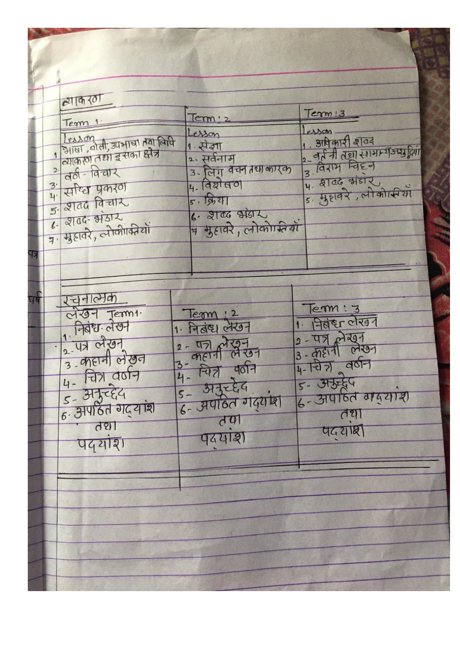| व्याकर0ा                                                                                                                                                                        |                                                                                                                                                    |                                                                                                                                      |
|---------------------------------------------------------------------------------------------------------------------------------------------------------------------------------|----------------------------------------------------------------------------------------------------------------------------------------------------|--------------------------------------------------------------------------------------------------------------------------------------|
| Tem<br>Tesson<br>1 आर्षा, बोली, उपभाषा तथा लिपि<br>2 वर्ठा - विचार                                                                                                              | Term '2<br>Lesson<br>1 . सेज्ञा<br>2- सर्वनाम<br>3- लिगू वचन तथा कारक<br>4. विशेषण                                                                 | Term ! 3<br>esson<br>1. अविकारी शुव्य ।<br>2- वर्त नी तथा सामान्य अमुद्रियाँ<br>3- विराम चिहन<br>4. शुव्य संडार                      |
| $\frac{3}{4}$ effect year of<br>$5.2106$ विचार<br>$6 - 2106 - 31312$<br>त्र मुहावरे, लोकीाकीयों                                                                                 | 5.1971<br>6.2106915<br>त्र मुहावरे, लोकोम्सियाँ                                                                                                    |                                                                                                                                      |
| रचनात्मक<br>लेखन Termi<br>1 निवंध लेखन<br>2 पत्र लेखन<br>$\frac{2}{3}$ angrad at aga<br>चित्र वर्षन<br>$\frac{1}{6}$ . अमुन्देद<br>$\frac{1}{6}$ अपठित गदयांश<br>तथा<br>पद्यांश | Term:2<br>1. नितंस लेखन<br>$2 - \frac{1}{1}$<br>3- <i>cheff</i> लेखन<br>3- नित्र पूर्वन<br><u>5 - अनुरुद्देव</u><br>6 - अपाठेत गंदयांश<br>- पदयांश | Term: 3<br>1. निवंश लेखन<br>$2 - \frac{47}{100}$ $\frac{227}{100}$<br>4-107 905-<br>5- अरुद्ध<br>6- अपाहित वादयोश<br>तथा<br>पदयोष्ठी |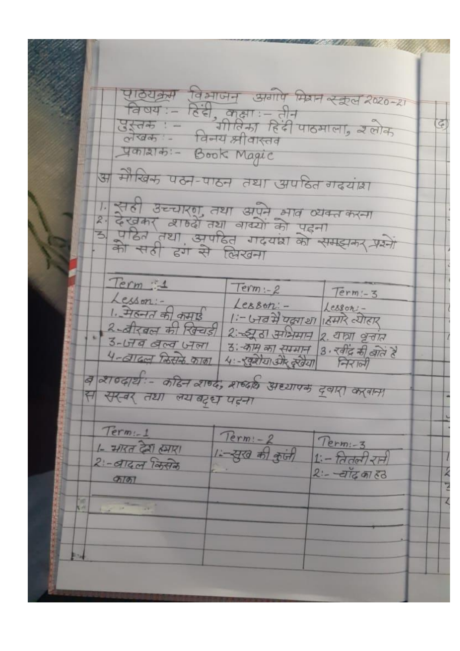पाठ्यक्रम विभाजन अगोप मियन स्कूल 2020-21 विषय: – हिंदी, कक्षा: – तीन<br>उस्तरु : – – गीविमा हिंदी पाठमाला, उलोक<br>लेखक: – – विनय श्रीवास्तव  $\left| \vec{r} \right|$ Yonlato :- Book Magic अ मेरिक पठन-पाठन तथा अपहित गढयांश । सही उच्चारण तथा अपने भाव व्यक्त करना<br>२: देखकर व्याग्व्हें तथा वाक्यों को पहना<br>३, पहित तथा अपहित गदयंघ्रा को समझकर प्रश्नों Term :1  $Term - 2$  $Term - 3$ व 2106/र्थ :- कठिन 2106, 2166 प्राध्यापक दवारा करवाना स सर-बर तथा लय बढ़्ध पहना  $Term - 1$ Term: - 2<br>1 :- युख की कुंजी  $Term: -3$ <br>1 :- <u>वितली</u> रानी 1- मारत देश हमारा 2: - बादल किसेके  $2 - 4\pi \pi \pi 3$ Ź काका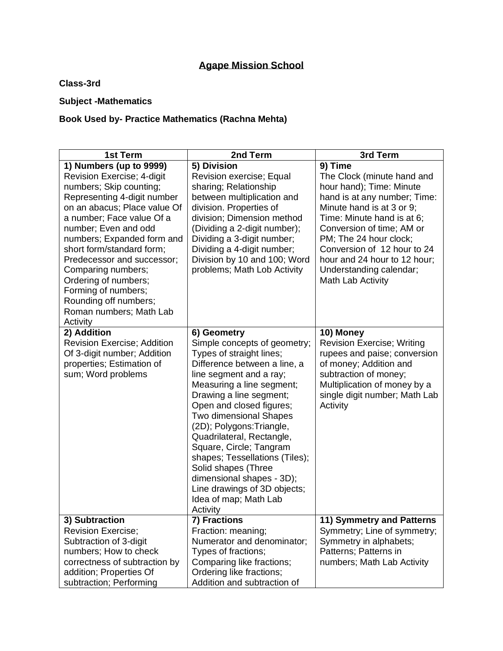# **Agape Mission School**

**Class-3rd**

## **Subject -Mathematics**

## **Book Used by- Practice Mathematics (Rachna Mehta)**

| 1st Term                                                                                                                                                                                                                                                                                                                                                                                                                           | 2nd Term                                                                                                                                                                                                                                                                                                                                                                                                                                                                                                | 3rd Term                                                                                                                                                                                                                                                                                                                           |
|------------------------------------------------------------------------------------------------------------------------------------------------------------------------------------------------------------------------------------------------------------------------------------------------------------------------------------------------------------------------------------------------------------------------------------|---------------------------------------------------------------------------------------------------------------------------------------------------------------------------------------------------------------------------------------------------------------------------------------------------------------------------------------------------------------------------------------------------------------------------------------------------------------------------------------------------------|------------------------------------------------------------------------------------------------------------------------------------------------------------------------------------------------------------------------------------------------------------------------------------------------------------------------------------|
| 1) Numbers (up to 9999)<br>Revision Exercise; 4-digit<br>numbers; Skip counting;<br>Representing 4-digit number<br>on an abacus; Place value Of<br>a number; Face value Of a<br>number; Even and odd<br>numbers; Expanded form and<br>short form/standard form;<br>Predecessor and successor;<br>Comparing numbers;<br>Ordering of numbers;<br>Forming of numbers;<br>Rounding off numbers;<br>Roman numbers; Math Lab<br>Activity | 5) Division<br>Revision exercise; Equal<br>sharing; Relationship<br>between multiplication and<br>division. Properties of<br>division; Dimension method<br>(Dividing a 2-digit number);<br>Dividing a 3-digit number;<br>Dividing a 4-digit number;<br>Division by 10 and 100; Word<br>problems; Math Lob Activity                                                                                                                                                                                      | 9) Time<br>The Clock (minute hand and<br>hour hand); Time: Minute<br>hand is at any number; Time:<br>Minute hand is at 3 or 9;<br>Time: Minute hand is at 6;<br>Conversion of time; AM or<br>PM; The 24 hour clock;<br>Conversion of 12 hour to 24<br>hour and 24 hour to 12 hour;<br>Understanding calendar;<br>Math Lab Activity |
| 2) Addition<br><b>Revision Exercise; Addition</b><br>Of 3-digit number; Addition<br>properties; Estimation of<br>sum; Word problems                                                                                                                                                                                                                                                                                                | 6) Geometry<br>Simple concepts of geometry;<br>Types of straight lines;<br>Difference between a line, a<br>line segment and a ray;<br>Measuring a line segment;<br>Drawing a line segment;<br>Open and closed figures;<br><b>Two dimensional Shapes</b><br>(2D); Polygons: Triangle,<br>Quadrilateral, Rectangle,<br>Square, Circle; Tangram<br>shapes; Tessellations (Tiles);<br>Solid shapes (Three<br>dimensional shapes - 3D);<br>Line drawings of 3D objects;<br>Idea of map; Math Lab<br>Activity | 10) Money<br><b>Revision Exercise; Writing</b><br>rupees and paise; conversion<br>of money; Addition and<br>subtraction of money;<br>Multiplication of money by a<br>single digit number; Math Lab<br>Activity                                                                                                                     |
| 3) Subtraction<br><b>Revision Exercise;</b><br>Subtraction of 3-digit<br>numbers; How to check<br>correctness of subtraction by<br>addition; Properties Of<br>subtraction; Performing                                                                                                                                                                                                                                              | 7) Fractions<br>Fraction: meaning;<br>Numerator and denominator;<br>Types of fractions;<br>Comparing like fractions;<br>Ordering like fractions;<br>Addition and subtraction of                                                                                                                                                                                                                                                                                                                         | 11) Symmetry and Patterns<br>Symmetry; Line of symmetry;<br>Symmetry in alphabets;<br>Patterns; Patterns in<br>numbers; Math Lab Activity                                                                                                                                                                                          |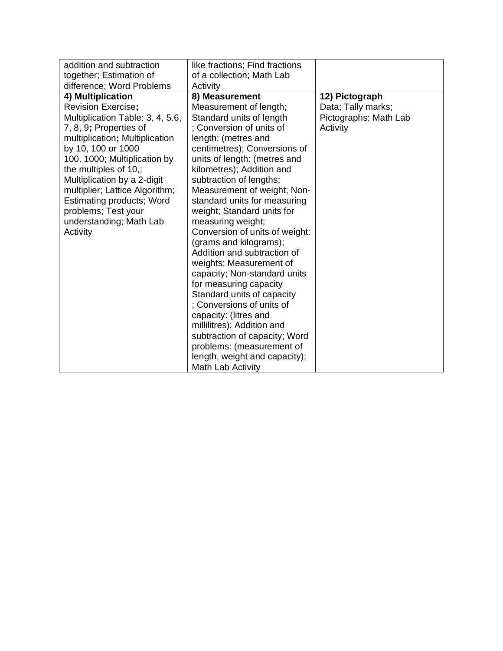| addition and subtraction<br>together; Estimation of                                                                                                                                                                                                                                                                                                                                                                           | like fractions; Find fractions<br>of a collection; Math Lab                                                                                                                                                                                                                                                                                                                                                                                                                                                                                                                                                                                                                                                                                                                    |                                                                           |
|-------------------------------------------------------------------------------------------------------------------------------------------------------------------------------------------------------------------------------------------------------------------------------------------------------------------------------------------------------------------------------------------------------------------------------|--------------------------------------------------------------------------------------------------------------------------------------------------------------------------------------------------------------------------------------------------------------------------------------------------------------------------------------------------------------------------------------------------------------------------------------------------------------------------------------------------------------------------------------------------------------------------------------------------------------------------------------------------------------------------------------------------------------------------------------------------------------------------------|---------------------------------------------------------------------------|
| difference; Word Problems<br>4) Multiplication<br><b>Revision Exercise;</b><br>Multiplication Table: 3, 4, 5.6,<br>7, 8, 9; Properties of<br>multiplication; Multiplication<br>by 10, 100 or 1000<br>100. 1000; Multiplication by<br>the multiples of 10,;<br>Multiplication by a 2-digit<br>multiplier; Lattice Algorithm;<br><b>Estimating products; Word</b><br>problems; Test your<br>understanding; Math Lab<br>Activity | Activity<br>8) Measurement<br>Measurement of length;<br>Standard units of length<br>: Conversion of units of<br>length: (metres and<br>centimetres); Conversions of<br>units of length: (metres and<br>kilometres); Addition and<br>subtraction of lengths;<br>Measurement of weight; Non-<br>standard units for measuring<br>weight; Standard units for<br>measuring weight;<br>Conversion of units of weight:<br>(grams and kilograms);<br>Addition and subtraction of<br>weights; Measurement of<br>capacity; Non-standard units<br>for measuring capacity<br>Standard units of capacity<br>; Conversions of units of<br>capacity: (litres and<br>millilitres); Addition and<br>subtraction of capacity; Word<br>problems: (measurement of<br>length, weight and capacity); | 12) Pictograph<br>Data; Tally marks;<br>Pictographs; Math Lab<br>Activity |
|                                                                                                                                                                                                                                                                                                                                                                                                                               | <b>Math Lab Activity</b>                                                                                                                                                                                                                                                                                                                                                                                                                                                                                                                                                                                                                                                                                                                                                       |                                                                           |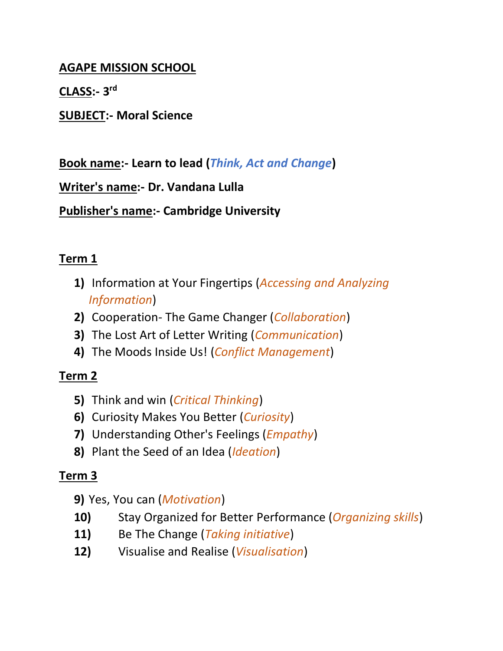# **AGAPE MISSION SCHOOL**

**CLASS:- 3 rd**

**SUBJECT:- Moral Science**

**Book name:- Learn to lead (***Think, Act and Change***)**

**Writer's name:- Dr. Vandana Lulla**

**Publisher's name:- Cambridge University**

# **Term 1**

- **1)** Information at Your Fingertips (*Accessing and Analyzing Information*)
- **2)** Cooperation- The Game Changer (*Collaboration*)
- **3)** The Lost Art of Letter Writing (*Communication*)
- **4)** The Moods Inside Us! (*Conflict Management*)

# **Term 2**

- **5)** Think and win (*Critical Thinking*)
- **6)** Curiosity Makes You Better (*Curiosity*)
- **7)** Understanding Other's Feelings (*Empathy*)
- **8)** Plant the Seed of an Idea (*Ideation*)

# **Term 3**

- **9)** Yes, You can (*Motivation*)
- **10)** Stay Organized for Better Performance (*Organizing skills*)
- **11)** Be The Change (*Taking initiative*)
- **12)** Visualise and Realise (*Visualisation*)